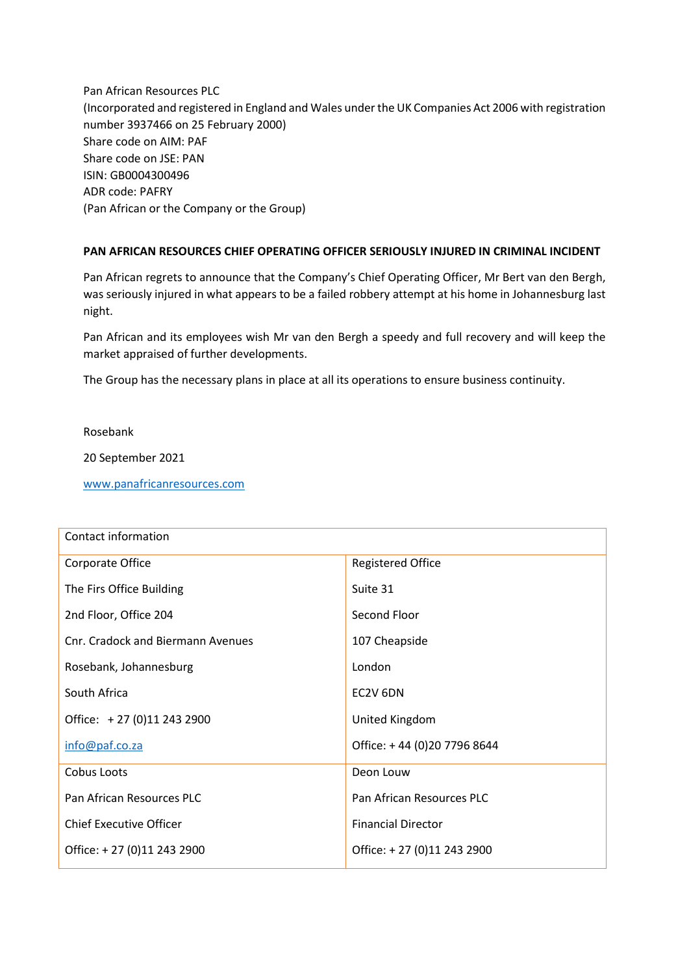Pan African Resources PLC (Incorporated and registered in England and Wales under the UK Companies Act 2006 with registration number 3937466 on 25 February 2000) Share code on AIM: PAF Share code on JSE: PAN ISIN: GB0004300496 ADR code: PAFRY (Pan African or the Company or the Group)

## **PAN AFRICAN RESOURCES CHIEF OPERATING OFFICER SERIOUSLY INJURED IN CRIMINAL INCIDENT**

Pan African regrets to announce that the Company's Chief Operating Officer, Mr Bert van den Bergh, was seriously injured in what appears to be a failed robbery attempt at his home in Johannesburg last night.

Pan African and its employees wish Mr van den Bergh a speedy and full recovery and will keep the market appraised of further developments.

The Group has the necessary plans in place at all its operations to ensure business continuity.

Rosebank

20 September 2021

[www.panafricanresources.com](http://www.panafricanresources.com/)

| Contact information               |                             |
|-----------------------------------|-----------------------------|
| Corporate Office                  | <b>Registered Office</b>    |
| The Firs Office Building          | Suite 31                    |
| 2nd Floor, Office 204             | Second Floor                |
| Cnr. Cradock and Biermann Avenues | 107 Cheapside               |
| Rosebank, Johannesburg            | London                      |
| South Africa                      | EC2V 6DN                    |
| Office: +27 (0)11 243 2900        | United Kingdom              |
| info@paf.co.za                    | Office: +44 (0)20 7796 8644 |
| Cobus Loots                       | Deon Louw                   |
| Pan African Resources PLC         | Pan African Resources PLC   |
| <b>Chief Executive Officer</b>    | <b>Financial Director</b>   |
| Office: +27 (0)11 243 2900        | Office: +27 (0)11 243 2900  |